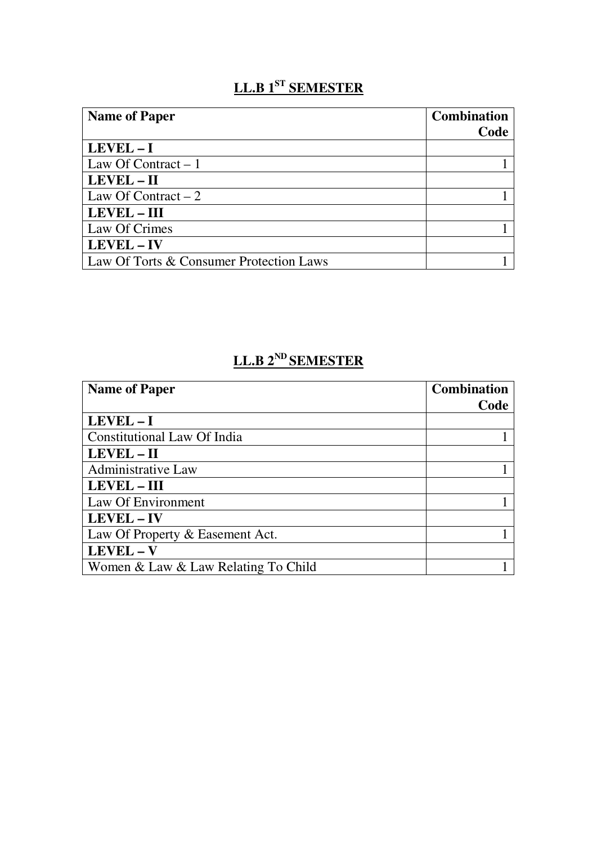# **LL.B 1ST SEMESTER**

| <b>Name of Paper</b>                    | <b>Combination</b> |
|-----------------------------------------|--------------------|
|                                         | Code               |
| $LEVEL - I$                             |                    |
| Law Of Contract $-1$                    |                    |
| LEVEL - II                              |                    |
| Law Of Contract $-2$                    |                    |
| <b>LEVEL - III</b>                      |                    |
| Law Of Crimes                           |                    |
| LEVEL - IV                              |                    |
| Law Of Torts & Consumer Protection Laws |                    |

## **LL.B 2ND SEMESTER**

| <b>Name of Paper</b>                | <b>Combination</b> |
|-------------------------------------|--------------------|
|                                     | Code               |
| $LEVEL - I$                         |                    |
| Constitutional Law Of India         |                    |
| LEVEL – II                          |                    |
| Administrative Law                  |                    |
| <b>LEVEL – III</b>                  |                    |
| Law Of Environment                  |                    |
| <b>LEVEL-IV</b>                     |                    |
| Law Of Property & Easement Act.     |                    |
| LEVEL - V                           |                    |
| Women & Law & Law Relating To Child |                    |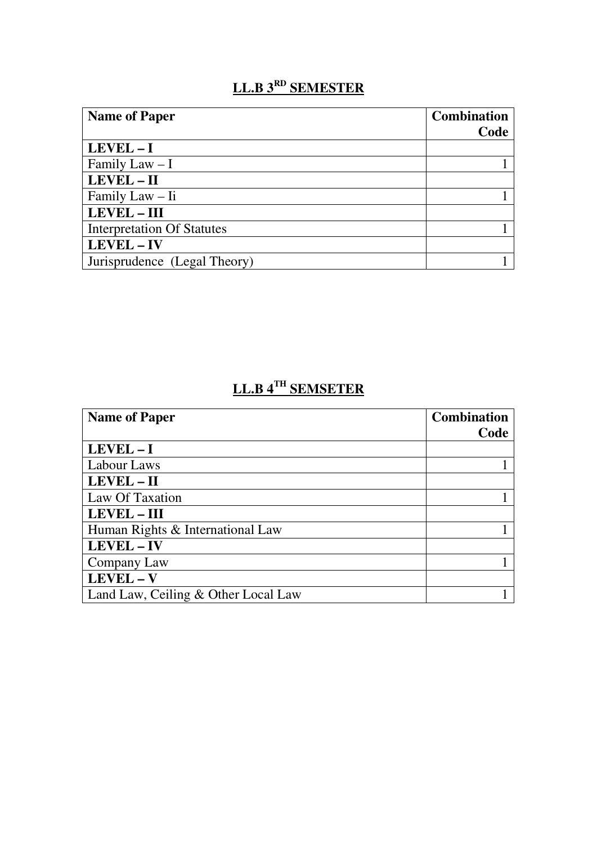### **LL.B 3RD SEMESTER**

| <b>Name of Paper</b>              | <b>Combination</b> |
|-----------------------------------|--------------------|
|                                   | Code               |
| $LEVEL - I$                       |                    |
| Family Law $-I$                   |                    |
| LEVEL - II                        |                    |
| Family Law – Ii                   |                    |
| <b>LEVEL - III</b>                |                    |
| <b>Interpretation Of Statutes</b> |                    |
| LEVEL - IV                        |                    |
| Jurisprudence (Legal Theory)      |                    |

#### **LL.B 4TH SEMSETER**

| <b>Name of Paper</b>                | <b>Combination</b> |
|-------------------------------------|--------------------|
|                                     | Code               |
| $LEVEL - I$                         |                    |
| Labour Laws                         |                    |
| LEVEL - II                          |                    |
| Law Of Taxation                     |                    |
| LEVEL - III                         |                    |
| Human Rights & International Law    |                    |
| LEVEL - IV                          |                    |
| Company Law                         |                    |
| LEVEL - V                           |                    |
| Land Law, Ceiling & Other Local Law |                    |